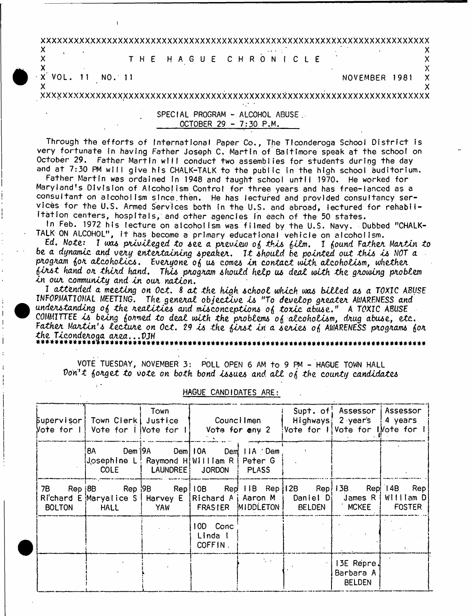**x x x x x x x x x x x x x x x x x x x x x x x x x x x x x x x x x x x x x x x x x x x x x x x x x x x x x x x x x x x x x x x x x x x x x x x**

**x** .  $\blacksquare$  .  $\blacksquare$  .  $\blacksquare$  .  $\blacksquare$  .  $\blacksquare$  .  $\blacksquare$  .  $\blacksquare$  .  $\blacksquare$  .  $\blacksquare$  .  $\blacksquare$  .  $\blacksquare$  .  $\blacksquare$  .  $\blacksquare$  .  $\blacksquare$  .  $\blacksquare$  .  $\blacksquare$  .  $\blacksquare$  .  $\blacksquare$  .  $\blacksquare$  .  $\blacksquare$  .  $\blacksquare$  .  $\blacksquare$  .  $\blacksquare$  .  $\blacksquare$  . **X** THE H A G U E C H R O N I C L E **<sup>X</sup>**

**- X** V O L . 11 NO. 11 N O V E M B E R 1981 **<sup>X</sup>**

1

**X X X X X X X X X X X X X X X X X X X X X X X X X X X X X X X X X X X X X X X X X X X X X X X X X X X X X X X X X X X X X X X X X X X X X X X X X**

 $\mathsf{X}$  and  $\mathsf{X}$  is a set of  $\mathsf{X}$  is a set of  $\mathsf{X}$  is a set of  $\mathsf{X}$  is a set of  $\mathsf{X}$ 

SPECIAL PROGRAM - ALCOHOL ABUSE. OCTOBER 29 - 7:30 P.M.

Through the efforts of International Paper Co., The Tfconderoga School District Is very fortunate In having Father Joseph C. Martin of Baltimore speak at the school on October 29. Father Martin will conduct two assemblies for students during the day and at 7:30 PM will give his CHALK-TALK to the public in the high school auditorium.

Father Martin was ordained In 1948 and taught school until 1970. He worked for Maryland's Division of Alcoholism Control for three years and has free-lanced as a consultant on alcoholism since.then. He has lectured and provided consultancy services for the U.S. Armed Services both in the U.S. and abroad, lectured for rehabilitation centers, hospitals, and other agencies In each of the 50 states.

In Feb. 1972 his lecture on alcoholism was filmed by the U.S. Navy. Dubbed "CHALK-TALK ON ALCOHOL", it has become a primary educational vehicle on alcoholism.

Ed. N*otei* I *pxiviteged to see a pxeview o{ this {itm,* I *{ound Fathex* Molten *to be a dynami*c *and vexy entertaining speakex,* 1*1 shputd be pointed oat this is* WOT *a pxogxam {ox atcohotics,* EueA*.yone* 0(5 *us comes in contact with atcokotism, whethex {ix s t hand ox thixd hand, This pxogxam should help us deal with the gxowing pxoblem In oux community and in oux nation*.

I attended a meeting on Oct. 8 at the high school which was billed as a TOXIC ABUSE INFORMATIONAL MEETING. *The general objective is* "To *develop gxeatex* AWARENESS *and understanding o{ the xealities and misconceptions o{ toxic abuse,"* A TOXIC ABUSE COMMITTEE *is being {ormed to deat with the pxobtems o{ alcoholismf dxug abuse, etc, Fathex Maxtin's tectuxe on Oct, 29 is the {ixst in a sexies o{* AWARENESS *pxogxams {ox the Ticondexoaa axea,, ,VJH* \*\*\*\*\*\*\*\*\*\*\*\*\*\*\*\*\*\*\*\*\*\*\*\*\*\*\*\*\*\*\*\*\*\*\*\*\*\*\*\*\*\*\*\*\*\*\*\*\*\*\*\*\*\*\*\*\*\*\*\*\*\*\*\*\*\*\*\*\*##\*\*\*\*#\*\*\*\*##\*\*«

VOTE TUESDAY, NOVEMBER 3: POLL OPEN 6 AM to 9 PM - HAGUE TOWN HALL *Don't forget to vote on both bond issues and all of the county candidates* 

|                       | Supervisor  Town Clerk  Justice<br>Vote for I! Vote for IlVote for I!                                                                                                | Town                                                        |                                | Councilmen<br>Vote for any 2 | $ V$ ote for l $ V$ ote for l $V$ ote for | Supt. of Assessor   Assessor<br>Highways, 2 years | !4 years                             |  |
|-----------------------|----------------------------------------------------------------------------------------------------------------------------------------------------------------------|-------------------------------------------------------------|--------------------------------|------------------------------|-------------------------------------------|---------------------------------------------------|--------------------------------------|--|
|                       | 8A<br>(Josephine L! Raymond H!William R   Peter G                                                                                                                    | Dem   9A Dem   10A Dem   11A Dem<br>COLE   LAUNDREE  JORDON |                                | <b>PLASS</b>                 |                                           |                                                   |                                      |  |
| 7B I<br><b>BOLTON</b> | Rep 8B   Rep 9B   Rep IOB   Rep IIB Rep I2B   Rep I3B   Rep I4B  Rep<br>R'chard E Maryalice S   Harvey E   Richard A   Aaron M $\frac{1}{2}$ Daniel D<br><b>HALL</b> | YAW                                                         | FRASTER MIDDLETON              |                              | BELDEN                                    | MCKEE                                             | James R   William D<br><b>FOSTER</b> |  |
|                       |                                                                                                                                                                      |                                                             | 10D Conc<br>Linda I<br>COFFIN. |                              |                                           |                                                   |                                      |  |
|                       |                                                                                                                                                                      |                                                             |                                | No.                          |                                           | 13E Repre!<br>Barbara A<br><b>BELDEN</b>          |                                      |  |

## HAGUE CANDIDATES ARE: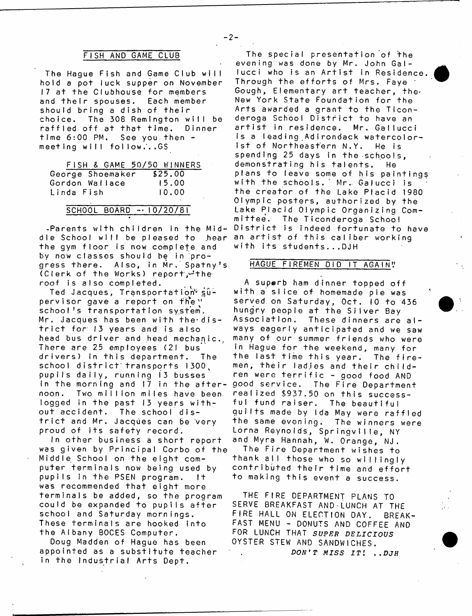# FISH AND GAME CLUB

 $-2-$ 

The Hague Fish and Game Club will hold a pot luck supper on November 17 at the Clubhouse for members and their spouses. Each member should bring a dish of their choice. The 308 Remington will be raffled off at that time. Dinner time  $6:00$  PM. See you then  $$ meeting will follow.'..GS

|            |  | FISH & GAME 50/50 WINNERS |  |         |  |
|------------|--|---------------------------|--|---------|--|
|            |  | George Shoemaker          |  | \$25.00 |  |
|            |  | Gordon Wallace            |  | 15.00   |  |
| Linda Fish |  |                           |  | 10.00   |  |

## SCHOOL BOARD - 10/20/81

-Parents with children in the Middle School will be pleased to .hear an artist of this caliber working . the gym floor is now complete and by now classes should be in progress there. Also, in Mr. Spatny's (Clerk of the Works) report,  $\mathcal{A}$  the roof is also completed.

Ted Jacques, Transportation<sup>y</sup> sup e r v i s o r g a v e a r e p o r t on f hve *"* school's transportation system. Mr. Jacques has been with the-district for 13 years and is also head bus driver and head mechanic., There are 25 employees (21 bus drivers) in this department. The school district transports 1300. pupils daily, running 13 busses in the morning and 17 in the afternoon. Two million miles have been logged in the past 13 years without accident. The school district and Mr. Jacques can be very proud of its safety record.

In other business a short report was given by Principal Corbo of the Middle School on the eight computer terminals now being used by pupils in the PSEN program. It was recommended that eight more terminals be added, so the program could be expanded to pupils after school and Saturday mornings. These terminals are hooked into the Albany B0CES Computer.

Doug Madden of Hague has been appointed as a substitute teacher in the Industrial Arts Dept.

The special presentation of the evening was done by Mr. John Gallucci who is an Artist in Residence. Through the efforts of Mrs. Faye Gough, Elementary art teacher, the' New York State Foundation for the Arts awarded a grant to the Ticonderoga School District to have an artist in residence. Mr. Gallucci is a leading Adirondack watercolorist of Northeastern N.Y. He is spending 25 days in the schools. demonstrating his talents. He plans to leave some of his paintings with the schools.' Mr. Galucci is the creator of the Lake Placid 1980 Olympic posters, authorized by the Lake Placid Olympic Organizing Com-<br>mittee. The Ticonderoga School The Ticonderoga School District is indeed fortunate to have with its students...DJH

# HAGUE FIREMEN DID IT AGAIN"

A superb ham dinner topped off with a slice of homemade pie was served on Saturday, Oct. 10 to 436 hungry people at the Silver Bay Association. These dinners are always eagerly anticipated and we saw many of our summer friends who were in Hague for the weekend, many for the last time this year. The firemen, their ladjes and their children were terrific - good food AND good service. The Fire Department realized \$937.50 on this successful fund raiser. The beautiful quilts made by Ida May were raffled the same evening. The winners were Lorna Reynolds, Springville, NY and Myra Hannah, W. Orange, NJ. The Fire Department wishes to thank all those who so willingly contributed their time and effort to making this event a success.

THE FIRE DEPARTMENT PLANS TO SERVE BREAKFAST AND LUNCH AT THE FIRE HALL ON ELECTION DAY. BREAK-FAST MENU - DONUTS AND COFFEE AND FOR LUNCH THAT *SUPER DELICIOUS* OYSTER STEW AND SANDWICHES. *DON'T MISS I T i . ,DJH*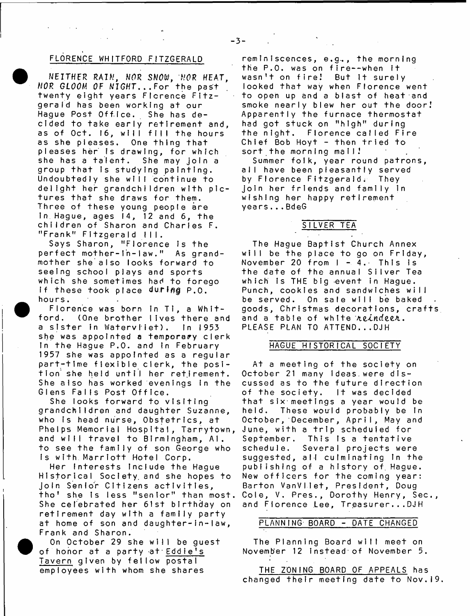# FLORENCE WHITFORD FITZGERALD

 $\mathcal{A}=\mathcal{A}$  ,  $\mathcal{A}=\mathcal{A}$ 

NEITHER RAIN, WAR SNOW, NOR HEAT, NOR GLOOM OF NIGHT...For the past twenty eight years Florence Fitzgerald has been working at our Hague Post Office. She has decided to take early retirement and, as of Oct. 16, will fill the hours as she pleases. One thing that pleases her is drawing, for which she has a talent. She may join a group that is studying painting. Undoubtedly she will continue to delight her grandchildren with pictures that she draws for them. Three of these young people are in Hague, ages  $14$ , 12 and  $6$ , the children of Sharon and Charles F. "Frank" Fitzgerald III.

Says Sharon, "Florence is the perfect mother-in-law." As grandmother she also looks forward to seeing school plays and sports which she sometimes had to forego If these took place  $\frac{d}{d}$  P.O. hours.

Florence was born in Ti, a Whitford. (One brother lives there and a sister in Watervhiet). In 1953 she was appointed a temporary clerk In the Hague P.O. and in February 1957 she was appointed as a regular part-time flexible clerk, the position she held until her retirement. She also has worked evenings in the Glens Falls Post Office.

She looks forward to visiting grandchildren and daughter Suzanne, who is head nurse, Obstetrics, at Phelps Memorial Hospital, Tarrytown, and will travel to Birmingham, Al. to see the family of son George who Is with Marriott Hotel Corp.

Her Interests Include the Hague Historical Society, and she hopes to join Senior Citizens activities, tho' she is less "senior" than most. She celebrated her 61st birthday on retirement day with a family party at home of son and daughter-in-law, Frank and Sharon.

On October 29 she will be guest of honor at a party at Eddie's Tavern given by fellow postal employees with whom she shares

reminiscences, e.g.., the morning the P.O. was on fire--when it wasn't on fire! But it surely looked that way when Florence went to open up and a blast of heat and smoke nearly blew her out the door! Apparently the furnace thermostat had got stuck on "high" during the night. Florence called Fire Chief Bob Hoyt  $-$  then tried to sort the morning mail!

Summer folk, year round patrons, all have been pleasantly served by Florence Fitzgerald; They join her friends and family in wishing her happy retirement years...BdeG

## SILVER TEA

 $\gamma$  ,  $\gamma$  ,  $\gamma$ 

The Hague Baptist Church Annex will be the place to go on Friday, November 20 from  $I - 4$ . This is the date of the annual Silver Tea which is THE big event in Hague. Punch, cookies and sandwiches will be served. On sale will be baked goods, Christmas decorations, crafts and a table of white reindeer. PLEASE PLAN TO ATTEND...OJH

 $\sim$ 

## HAGUE HISTORICAL SOCIETY

At a meeting of the society on October 21 many ideas were discussed as to the future direction of the society. It was decided that six meetings a year would be held. These would probably be In October, December, April, May and June, with a trip scheduled for September. This is a tentative schedule. Several projects were suggested, all culminating in the publishing of a history of Hague. New officers for the coming year: Barton VanVIIet, President, Doug Cole, V. Pres., Dorothy Henry, Sec., and Fiorence Lee, Treasurer... DJH

### PLANNING BOARD - DATE CHANGED

The Planning Board will meet on November 12 instead of November 5.

THE ZONING BOARD OF APPEALS has changed their meeting date to Nov.19.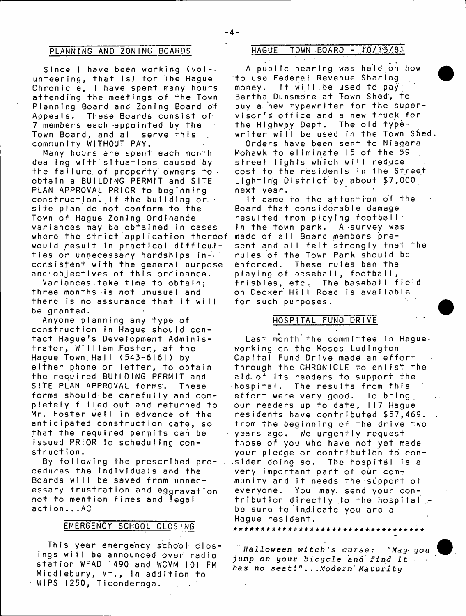Since  $l$  have been working (vol-. unteering, that is) for The Haque Chronicle, I have spent many hours attending the meetings of the Town Planning Board and Zoning Board of Appeals. These Boards consist of 7 members each appointed by the Town Board, and alI serve this community WITHOUT PAY.

Many hours are spent each month dealing with situations caused by the fallure of property owners to obtain a BUILDING PERMIT and SITE PLAN APPROVAL PRIOR to beginning construction. If the building or.  $\cdot$ site plan do not conform to the Town of Hague Zoning Ordinance variances may be obtained in cases where the strict application thereof would result in practical difficulties or unnecessary hardships inconsistent with the general purpose and objectives of this ordinance.

Variances take time to obtain: three months is not unusual and there is no assurance that it will be granted.

Anyone planning any type of construction in Hague should contact Haque's Development Administrator, William Foster, at the Hague Town Hall (543-6161) by either phone or letter, to obtain the required BUILDING PERMIT and SITE PLAN APPROVAL forms. These forms should-be carefully and completely filled out and returned to Mr. Foster well in advance of the anticipated construction date, so that the required permits can be issued PRIOR to scheduling construction.

By following the prescribed procedures the individuals and the Boards will be saved from unnecessary frustration and aggravation not to mention fines and legal  $action.$ .. $AC$ 

# EMERGENCY SCHOOL CLOSING

This year emergency school clos-Ings will be announced over radio station WFAD 1490 and WCVM 101 FM Middlebury, Vt., in addition to WIPS 1250, Ticonderoga.

# PLANNING AND ZONING BOARDS HAGUE TOWN BOARD - 10/13/8.1

A public hearing was held on how to use Federal Revenue Sharing money. It will be used to pay Bertha Dunsmore at Town Shed', to buy a new typewriter for the supervisor's office and a new truck for<br>the Highway Dept. The old typethe Highway Dept. writer will be used in the Town Shed.

Orders have been sent to Niagara Mohawk to eliminate 15 of the 59 street lights which will reduce cost to the residents in the Street Lighting District by about \$7,000 next year.

It came to the attention of the Board that considerable damage resulted from playing football' in the town park. A survey was made of all Board members present and all felt strongly that the rules of the Town Park should be enforced. These rules ban the playing of baseball, football, frisbies, etc. The baseball field on Decker Hill Road is available for such purposes.

## HOSPITAL FUND DRIVE

Last month the committee in Hagueworking on the Moses Ludlngton Capital Fund Drive made an effort through the CHRONICLE to enlist the aid of its readers to support the<br>bospital. The results from this The results from this effort were very good. To bring our readers up to date, 117 Hague residents have contributed \$57,469. from the beginning of the drive two years ago. We urgently request those of you who have not yet made your pledge or contribution to con  $s$  ider doing so. The hospital is a very important part of our community and it needs the support of everyone. You may. send your contribution directly to the hospital be sure to indicate you are a Hague resident.

*Halloween witch's curse:* "May you *jump on your bicycle and find it has no s e a t i "... Modern' M a t u r i t y*

\* \* \* \* \* \* \* \* \* \* \* \* \* \* \* \* \* \* \* \* \* \* \* \* \*.\* \* \* \* \* \* \* \* \* \*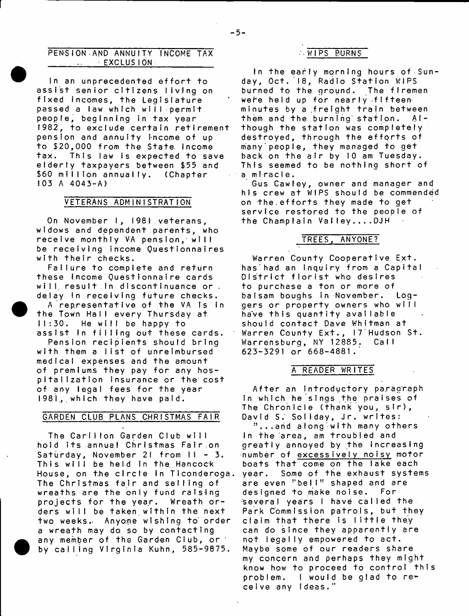## PENSION AND ANNUITY INCOME TAX  $E$  EXCLUSION

In an unprecedented effort to assist senior citizens living on fixed incomes, the Legislature passed a law which will permit people, beginning in tax year 1982, to exclude certain retirement pension and annuity income of up to \$20,000 from the State income tax. This law is expected to save elderly taxpayers between \$55 and \$60 million annually. (Chapter 103 A 4043-A)

## VETERANS ADMINISTRATION

On November 1, 1981 veterans, widows and dependent parents, who receive monthly VA pension, will be receiving income Questionnaires with their checks.

Failure to complete and return these income Questionnaire cards will, result in discontinuance or . delay in receiving future checks.

A representative of the VA is in the Town Hall every Thursday at 11:30. He will be happy to assist in filling out these cards.

Pension recipients should bring with them a list of unreimbursed medical expenses and the amount of premiums they pay for any hospitalization insurance or the cost of any legal fees for the year 1981., which they have paid.

# GARDEN CLUB PLANS CHRISTMAS FAIR

The Carillon Garden Club will hold its annual Christmas Fair.on Saturday, November 21 from  $H - 3$ . This will be held in the Hancock House, on the circle in Ticonderoga. The Christmas fair and selling of wreaths are the only fund raising projects for the year. Wreath orders will be taken within the next two weeks. Anyone wishing to order a wreath may do so by contacting any member of the Garden Club, or by calling Virginia Kuhn, 585-9875.

# --WIPS BURNS

In the early morning hours of Sunday, Oct. 18, Radio Station WIPS burned to the ground. The firemen were held up for nearly fifteen minutes by a freight train between them and the burning station. Although the station was completely destroyed, through the efforts of many'people, they managed to get back on the air by 10 am Tuesday. This seemed to be nothing short of a miracle.

Gus Cawley, owner and manager and his crew at WIPS should be commended on the.efforts they made to get service restored to the people of the Champlain Valley....DJH

# TREES, ANYONE?

Warren County Cooperative Ext. has had an Inquiry from a Capital District florist who desires to purchase a ton or more of balsam boughs in November. Loggers or property owners who will have this quantity available should contact Dave Whitman at Warren County Ext., I7 Hudson St. Warrensburg, NY 12885. Call 623-3291 or 668-4881.'

## A READER WRITES

After an introductory paragraph In which he sings the praises of The Chronicle (thank you, sir), David S. Soliday, Jr. writes: "...and along with many others In the area, am troubled and greatly annoyed by the increasing number of excessively noisy motor boats that come on the lake each year. Some of the exhaust systems are even "bell" shaped and are designed to make noise. For several years I have called the Park Commission patrols, but they claim that there is little they can do since they apparently are not legally empowered to act. Maybe some of our readers share my concern and perhaps they might know how to proceed to control this problem. I would be glad to receive any ideas."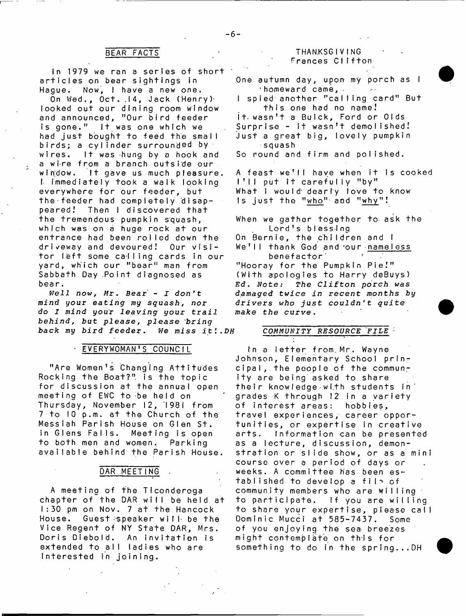# BEAR FACTS

In 1979 we ran a series of short articles on bear sightings in Hague. Now, I have a new one.

On Wed., Oct. 14, Jack (Henry)<sup>.</sup> looked out our dining room wIndow and announced, "Our bird feeder is gone." It was one which we had just bought to feed the small birds; a cylinder surrounded by  $\cdot$ wires. It was hung by a hook and a wire from a branch outside our window. It gave us much pleasure. I immediately took a walk looking everywhere for our feeder, but the feeder had completely disap-Then I discovered that the tremendous pumpkin squash, which was on a huge rock at our entrance had been rolled down the driveway and devoured! Our visipeared! tor left some calling cards in our yard, which our "bear" man from Sabbath Day .Point diagnosed as bear.

*Well now, Mr\* Bear* **- J** *don't mind your eating my squash* **>** *nor do I mind your leaving your trail behind, but please, please bring back my bird feeder* **.** *We miss it* **,** *DH*

#### EV ERY WOMAN'S COUNCIL

"Are Women's Changing Attitudes Rocking the Boat?" is the topic for discussion at the annual open meeting of EWC to be held on Thursday, November 12, 1981 from 7 to 10 p.m. at the Church of the Messiah Parish House on Glen St. in Glens Falls. Meeting is open to both men and women. Parking available behind the Parish House

## DAR MEETING

A meeting of the Ticonderoga chapter of the DAR will be held at 1:30 pm on Nov. 7 at the Hancock House. Guest speaker will be the Vice Regent of NY State DAR, Mrs. Doris Diebold. An invitation is extended to all ladies who are Interested in joining.

## THANKSG IV ING Frances Clifton

One autumn day, upon my porch as I  $'$  homeward came,  $\cdot$ I spied another "calling card" But this one had no name! it wasn't a Buick, Ford or Olds Surprise - it wasn't demolished! Just a great big, lovely pumpkin squash So round and **f i rm and do Ii shed**

A feast we'll have when it is cooked  $1'11$  put it carefully "by" What I would dearly love to know Is just the "who" and "why"!

When we gather together to ask the Lord's blessing On Bernie, the children and I We'll thank God and our <u>nameless</u><br>benefactor benefactor<sup>1</sup> " Hooray for the Pumpkin Pie!" (With apologies to Harry deBuys)

 $Ed.$  *Note:* The Clifton porch was **damaged** *twice in recent months by drivers who just couldn't quite make the curve.*

## $COMMUNITY$  *RESOURCE* FILE  $\cdot$

In a letter from Mr. Wayne Johnson, Elementary School principal, the people of the community are being asked to share their knowledge with students in grades K through 12 in a variety of interest areas: hobbies, travel experiences, career opportunities, or expertise in creative arts. Information can be presented as a lecture, discussion, demonstration or slide show, or as a mini course over a period of days or weeks. A committee has been established to develop a file of community members who are willing to participate. If you are willing to share your expertise, please call Dominic Mucci at 585-7437. Some of you enjoying the sea breezes might contemplate on this for something to do in the spring...DH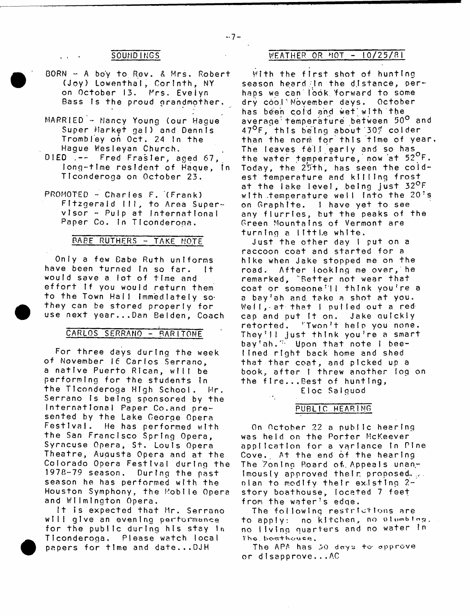- $BORN A$  boy to Rev.  $A$  Mrs. Robert (Joy) Lowenthal, Corinth, NY on October 13. Mrs. Evelyn Bass is the proud grandmother.
- MARRIED Nancy Young (our Hague Super Market gal) and Dennis Trombley on Oct. 24 in the Hague Wesleyan Church.
- DIED  $\left[- \right]$  Fred Frasier, aged 67, long-time resident of Haque, in Ticonderoga on October 23.
- $PROMOTED Charles F. (Frank)$ Fitzgerald III, to Area Super $v \cdot \text{Is}$   $\alpha r$  - Pulp at International Paper Co. In Ticonderoga.

### BABE RUTHERS - TAKE NOTE

Only a few Babe Ruth uniforms have been turned in so far. It would save a jot of time and effort If you would return them to the Town Hall Immediately sothey can be stored properly for use next year...Dan Belden, Coach

### CARLOS SERRANO - BARITONE

For three days during the week of November 16 Carlos Serrano, a native Puerto Rican, will be performing for the students in the TIconderoga High School. Hr, Serrano Is being sponsored by the International Paper Co.and presented by the Lake George Opera Festival. He has performed with the San Francisco Spring Opera, Syracuse Opera, St. Louis Opera Theatre, Augusta Opera and at the Colorado Opera Festival during the 1978-79 season. During the past season he has performed with the Houston Symphony, the Mobile Opera and Wilmington Opera.

It is expected that Mr. Serrano will give an evening performance for the public during his stay In TIconderoga. Please watch local papers for time and date...DJH

# SOUNDINGS WEATHER OR MOT - 10/25/81

With the first shot of hunting season heard in the distance, perhaps we can look forward to some<br>dry cool November days, October dry cool'November days. has been cold and wet'with the average:temperature between 50° and 47<sup>o</sup>F, this being about 30% colder than the norm for this time of year. The leaves fell early and so has the water temperature, now at 52<sup>o</sup>F. Today, the  $25th$ , has seen the  $cold$ est temperature and killing frost at the lake level, being just 32<sup>0</sup>F with temperature well into the  $20<sup>3</sup>$ s on Graphite. I have yet to see any flurries, hut the peaks of the Green Mountains of Vermont are turning a little white.

Just the other day I put on a raccoon coat and started for a hike when Jake stopped me on the road. After looking me over, he remarked, "Better not wear that coat or someone'll think you're a a bay'ah and take a shot at you. Weil, at that I pulled out a redcap and put It on. Jake quickly retorted. 'Twon't help you none. They'll just think you're a smart bay'ah." Upon that note I beelined right back home and shed that thar coat, and picked up a book, after I threw another log on the fire...Best of hunting, EIoc Salguod

PUBLIC HEARING

On October 22 a public hearing was held on the Porter McKeever application for a variance in Pine Cove.. At the end of the hearing The 7oning Board of Appeals unan $imously$  approved their proposed. olan to modify their existing 2 story boathouse, located 7 feet from the water's edge.

The following restrictions are to apply: no kitchen, no olumbing. no living quarters and no water in The boathouse.

The APA has 50 days to approve or disapprove...AC